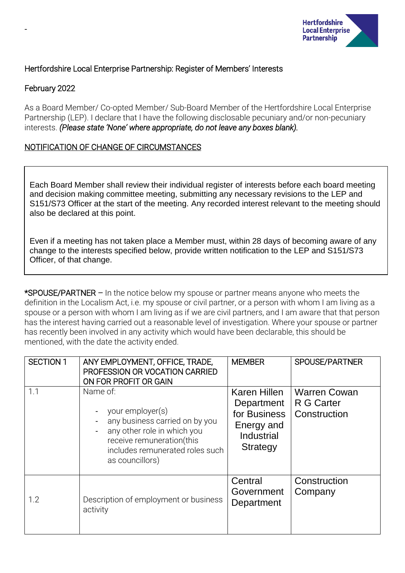

# Hertfordshire Local Enterprise Partnership: Register of Members' Interests

# February 2022

-

As a Board Member/ Co-opted Member/ Sub-Board Member of the Hertfordshire Local Enterprise Partnership (LEP). I declare that I have the following disclosable pecuniary and/or non-pecuniary interests. *(Please state 'None' where appropriate, do not leave any boxes blank).*

# NOTIFICATION OF CHANGE OF CIRCUMSTANCES

Each Board Member shall review their individual register of interests before each board meeting and decision making committee meeting, submitting any necessary revisions to the LEP and S151/S73 Officer at the start of the meeting. Any recorded interest relevant to the meeting should also be declared at this point.

Even if a meeting has not taken place a Member must, within 28 days of becoming aware of any change to the interests specified below, provide written notification to the LEP and S151/S73 Officer, of that change.

\*SPOUSE/PARTNER – In the notice below my spouse or partner means anyone who meets the definition in the Localism Act, i.e. my spouse or civil partner, or a person with whom I am living as a spouse or a person with whom I am living as if we are civil partners, and I am aware that that person has the interest having carried out a reasonable level of investigation. Where your spouse or partner has recently been involved in any activity which would have been declarable, this should be mentioned, with the date the activity ended.

| <b>SECTION 1</b> | ANY EMPLOYMENT, OFFICE, TRADE,<br>PROFESSION OR VOCATION CARRIED<br>ON FOR PROFIT OR GAIN                                                                                        | <b>MEMBER</b>                                                                             | SPOUSE/PARTNER                                    |
|------------------|----------------------------------------------------------------------------------------------------------------------------------------------------------------------------------|-------------------------------------------------------------------------------------------|---------------------------------------------------|
| 1.1              | Name of:<br>your employer(s)<br>any business carried on by you<br>any other role in which you<br>receive remuneration(this<br>includes remunerated roles such<br>as councillors) | <b>Karen Hillen</b><br>Department<br>for Business<br>Energy and<br>Industrial<br>Strategy | <b>Warren Cowan</b><br>R G Carter<br>Construction |
| 1.2              | Description of employment or business<br>activity                                                                                                                                | Central<br>Government<br>Department                                                       | Construction<br>Company                           |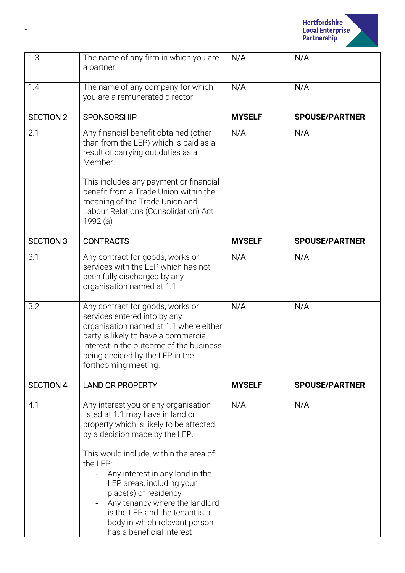

| 1.3              | The name of any firm in which you are<br>a partner                                                                                                                                                                                                                                                                                                                                                                                      | N/A<br>N/A    |                       |
|------------------|-----------------------------------------------------------------------------------------------------------------------------------------------------------------------------------------------------------------------------------------------------------------------------------------------------------------------------------------------------------------------------------------------------------------------------------------|---------------|-----------------------|
| 1.4              | The name of any company for which<br>you are a remunerated director                                                                                                                                                                                                                                                                                                                                                                     | N/A           | N/A                   |
| <b>SECTION 2</b> | <b>SPONSORSHIP</b>                                                                                                                                                                                                                                                                                                                                                                                                                      | <b>MYSELF</b> | <b>SPOUSE/PARTNER</b> |
| 2.1              | Any financial benefit obtained (other<br>than from the LEP) which is paid as a<br>result of carrying out duties as a<br>Member.<br>This includes any payment or financial<br>benefit from a Trade Union within the<br>meaning of the Trade Union and<br>Labour Relations (Consolidation) Act<br>1992 (a)                                                                                                                                | N/A<br>N/A    |                       |
| <b>SECTION 3</b> | <b>CONTRACTS</b>                                                                                                                                                                                                                                                                                                                                                                                                                        | <b>MYSELF</b> | <b>SPOUSE/PARTNER</b> |
| 3.1              | Any contract for goods, works or                                                                                                                                                                                                                                                                                                                                                                                                        | N/A           | N/A                   |
|                  | services with the LEP which has not<br>been fully discharged by any<br>organisation named at 1.1                                                                                                                                                                                                                                                                                                                                        |               |                       |
| 3.2              | Any contract for goods, works or<br>services entered into by any<br>organisation named at 1.1 where either<br>party is likely to have a commercial<br>interest in the outcome of the business<br>being decided by the LEP in the<br>forthcoming meeting.                                                                                                                                                                                | N/A           | N/A                   |
| <b>SECTION 4</b> | <b>LAND OR PROPERTY</b>                                                                                                                                                                                                                                                                                                                                                                                                                 | <b>MYSELF</b> | <b>SPOUSE/PARTNER</b> |
| 4.1              | Any interest you or any organisation<br>listed at 1.1 may have in land or<br>property which is likely to be affected<br>by a decision made by the LEP.<br>This would include, within the area of<br>the LEP:<br>Any interest in any land in the<br>LEP areas, including your<br>place(s) of residency<br>Any tenancy where the landlord<br>is the LEP and the tenant is a<br>body in which relevant person<br>has a beneficial interest | N/A           | N/A                   |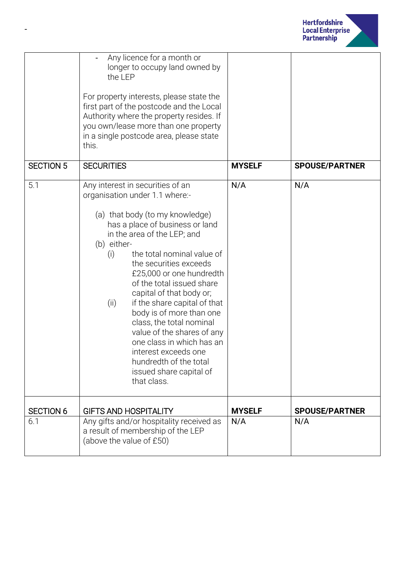

|                  | Any licence for a month or<br>longer to occupy land owned by<br>the LEP<br>For property interests, please state the<br>first part of the postcode and the Local<br>Authority where the property resides. If<br>you own/lease more than one property<br>in a single postcode area, please state<br>this.                                                                                                                                                                                                                                                                                           |               |                       |
|------------------|---------------------------------------------------------------------------------------------------------------------------------------------------------------------------------------------------------------------------------------------------------------------------------------------------------------------------------------------------------------------------------------------------------------------------------------------------------------------------------------------------------------------------------------------------------------------------------------------------|---------------|-----------------------|
| <b>SECTION 5</b> | <b>SECURITIES</b>                                                                                                                                                                                                                                                                                                                                                                                                                                                                                                                                                                                 | <b>MYSELF</b> | <b>SPOUSE/PARTNER</b> |
| 5.1              | Any interest in securities of an<br>organisation under 1.1 where:-<br>(a) that body (to my knowledge)<br>has a place of business or land<br>in the area of the LEP; and<br>(b) either-<br>the total nominal value of<br>(i)<br>the securities exceeds<br>£25,000 or one hundredth<br>of the total issued share<br>capital of that body or;<br>if the share capital of that<br>(ii)<br>body is of more than one<br>class, the total nominal<br>value of the shares of any<br>one class in which has an<br>interest exceeds one<br>hundredth of the total<br>issued share capital of<br>that class. | N/A           | N/A                   |
| <b>SECTION 6</b> | <b>GIFTS AND HOSPITALITY</b>                                                                                                                                                                                                                                                                                                                                                                                                                                                                                                                                                                      | <b>MYSELF</b> | <b>SPOUSE/PARTNER</b> |
| 6.1              | Any gifts and/or hospitality received as<br>a result of membership of the LEP<br>(above the value of £50)                                                                                                                                                                                                                                                                                                                                                                                                                                                                                         | N/A           | N/A                   |

-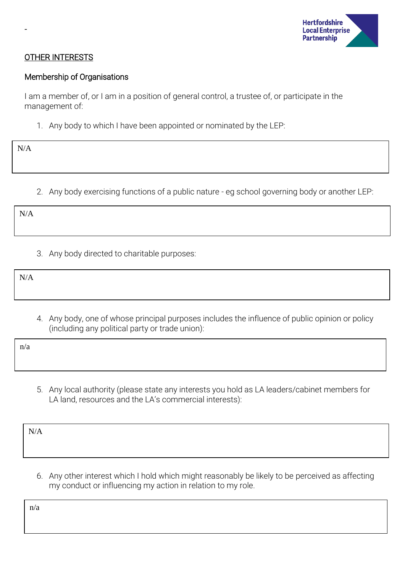

### OTHER INTERESTS

#### Membership of Organisations

I am a member of, or I am in a position of general control, a trustee of, or participate in the management of:

1. Any body to which I have been appointed or nominated by the LEP:

N/A

-

2. Any body exercising functions of a public nature - eg school governing body or another LEP:

N/A

3. Any body directed to charitable purposes:

N/A

4. Any body, one of whose principal purposes includes the influence of public opinion or policy (including any political party or trade union):

n/a

5. Any local authority (please state any interests you hold as LA leaders/cabinet members for LA land, resources and the LA's commercial interests):

| N/A |  |  |
|-----|--|--|
|     |  |  |
|     |  |  |

6. Any other interest which I hold which might reasonably be likely to be perceived as affecting my conduct or influencing my action in relation to my role.

n/a